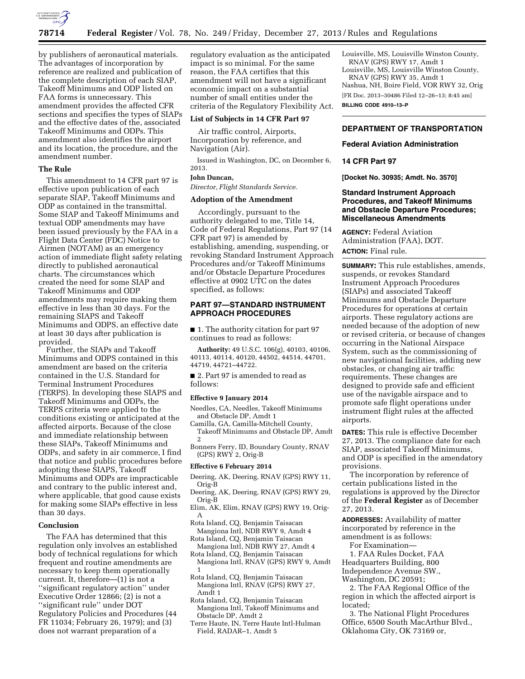

by publishers of aeronautical materials. The advantages of incorporation by reference are realized and publication of the complete description of each SIAP, Takeoff Minimums and ODP listed on FAA forms is unnecessary. This amendment provides the affected CFR sections and specifies the types of SIAPs and the effective dates of the, associated Takeoff Minimums and ODPs. This amendment also identifies the airport and its location, the procedure, and the amendment number.

### **The Rule**

This amendment to 14 CFR part 97 is effective upon publication of each separate SIAP, Takeoff Minimums and ODP as contained in the transmittal. Some SIAP and Takeoff Minimums and textual ODP amendments may have been issued previously by the FAA in a Flight Data Center (FDC) Notice to Airmen (NOTAM) as an emergency action of immediate flight safety relating directly to published aeronautical charts. The circumstances which created the need for some SIAP and Takeoff Minimums and ODP amendments may require making them effective in less than 30 days. For the remaining SIAPS and Takeoff Minimums and ODPS, an effective date at least 30 days after publication is provided.

Further, the SIAPs and Takeoff Minimums and ODPS contained in this amendment are based on the criteria contained in the U.S. Standard for Terminal Instrument Procedures (TERPS). In developing these SIAPS and Takeoff Minimums and ODPs, the TERPS criteria were applied to the conditions existing or anticipated at the affected airports. Because of the close and immediate relationship between these SIAPs, Takeoff Minimums and ODPs, and safety in air commerce, I find that notice and public procedures before adopting these SIAPS, Takeoff Minimums and ODPs are impracticable and contrary to the public interest and, where applicable, that good cause exists for making some SIAPs effective in less than 30 days.

### **Conclusion**

The FAA has determined that this regulation only involves an established body of technical regulations for which frequent and routine amendments are necessary to keep them operationally current. It, therefore—(1) is not a ''significant regulatory action'' under Executive Order 12866; (2) is not a ''significant rule'' under DOT Regulatory Policies and Procedures (44 FR 11034; February 26, 1979); and (3) does not warrant preparation of a

regulatory evaluation as the anticipated impact is so minimal. For the same reason, the FAA certifies that this amendment will not have a significant economic impact on a substantial number of small entities under the criteria of the Regulatory Flexibility Act.

#### **List of Subjects in 14 CFR Part 97**

Air traffic control, Airports, Incorporation by reference, and Navigation (Air).

Issued in Washington, DC, on December 6, 2013.

### **John Duncan,**

*Director, Flight Standards Service.* 

### **Adoption of the Amendment**

Accordingly, pursuant to the authority delegated to me, Title 14, Code of Federal Regulations, Part 97 (14 CFR part 97) is amended by establishing, amending, suspending, or revoking Standard Instrument Approach Procedures and/or Takeoff Minimums and/or Obstacle Departure Procedures effective at 0902 UTC on the dates specified, as follows:

## **PART 97—STANDARD INSTRUMENT APPROACH PROCEDURES**

■ 1. The authority citation for part 97 continues to read as follows:

**Authority:** 49 U.S.C. 106(g), 40103, 40106, 40113, 40114, 40120, 44502, 44514, 44701, 44719, 44721–44722.

■ 2. Part 97 is amended to read as follows:

#### **Effective 9 January 2014**

Needles, CA, Needles, Takeoff Minimums and Obstacle DP, Amdt 1

Camilla, GA, Camilla-Mitchell County, Takeoff Minimums and Obstacle DP, Amdt 2

Bonners Ferry, ID, Boundary County, RNAV

# (GPS) RWY 2, Orig-B **Effective 6 February 2014**

- Deering, AK, Deering, RNAV (GPS) RWY 11, Orig-B
- Deering, AK, Deering, RNAV (GPS) RWY 29, Orig-B
- Elim, AK, Elim, RNAV (GPS) RWY 19, Orig-A
- Rota Island, CQ, Benjamin Taisacan Mangiona Intl, NDB RWY 9, Amdt 4
- Rota Island, CQ, Benjamin Taisacan Mangiona Intl, NDB RWY 27, Amdt 4
- Rota Island, CQ, Benjamin Taisacan Mangiona Intl, RNAV (GPS) RWY 9, Amdt 1
- Rota Island, CQ, Benjamin Taisacan Mangiona Intl, RNAV (GPS) RWY 27, Amdt 1
- Rota Island, CQ, Benjamin Taisacan Mangiona Intl, Takeoff Minimums and Obstacle DP, Amdt 2
- Terre Haute, IN, Terre Haute Intl-Hulman Field, RADAR–1, Amdt 5

Louisville, MS, Louisville Winston County, RNAV (GPS) RWY 17, Amdt 1

Louisville, MS, Louisville Winston County, RNAV (GPS) RWY 35, Amdt 1 Nashua, NH, Boire Field, VOR RWY 32, Orig

[FR Doc. 2013–30486 Filed 12–26–13; 8:45 am]

**BILLING CODE 4910–13–P** 

## **DEPARTMENT OF TRANSPORTATION**

#### **Federal Aviation Administration**

### **14 CFR Part 97**

**[Docket No. 30935; Amdt. No. 3570]** 

## **Standard Instrument Approach Procedures, and Takeoff Minimums and Obstacle Departure Procedures; Miscellaneous Amendments**

**AGENCY:** Federal Aviation Administration (FAA), DOT. **ACTION:** Final rule.

**SUMMARY:** This rule establishes, amends, suspends, or revokes Standard Instrument Approach Procedures (SIAPs) and associated Takeoff Minimums and Obstacle Departure Procedures for operations at certain airports. These regulatory actions are needed because of the adoption of new or revised criteria, or because of changes occurring in the National Airspace System, such as the commissioning of new navigational facilities, adding new obstacles, or changing air traffic requirements. These changes are designed to provide safe and efficient use of the navigable airspace and to promote safe flight operations under instrument flight rules at the affected airports.

**DATES:** This rule is effective December 27, 2013. The compliance date for each SIAP, associated Takeoff Minimums, and ODP is specified in the amendatory provisions.

The incorporation by reference of certain publications listed in the regulations is approved by the Director of the **Federal Register** as of December 27, 2013.

**ADDRESSES:** Availability of matter incorporated by reference in the amendment is as follows:

For Examination—

1. FAA Rules Docket, FAA Headquarters Building, 800 Independence Avenue SW., Washington, DC 20591;

2. The FAA Regional Office of the region in which the affected airport is located;

3. The National Flight Procedures Office, 6500 South MacArthur Blvd., Oklahoma City, OK 73169 or,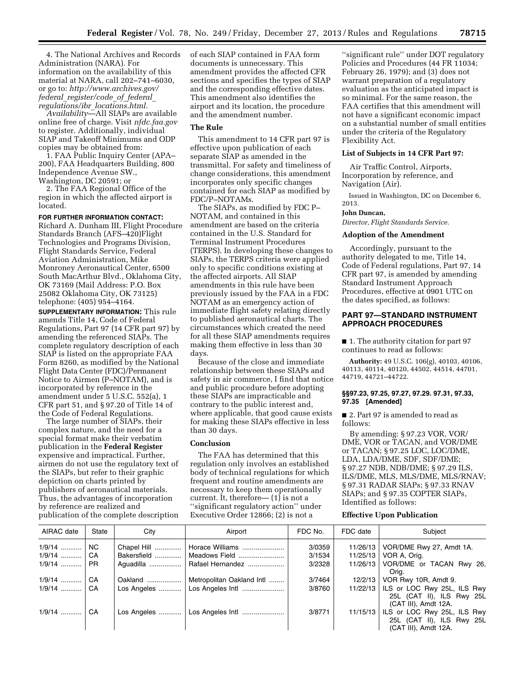4. The National Archives and Records Administration (NARA). For information on the availability of this material at NARA, call 202–741–6030, or go to: *[http://www.archives.gov/](http://www.archives.gov/federal_register/code_of_federal_regulations/ibr_locations.html) federal*\_*register/code*\_*of*\_*federal*\_ *regulations/ibr*\_*[locations.html.](http://www.archives.gov/federal_register/code_of_federal_regulations/ibr_locations.html)* 

*Availability*—All SIAPs are available online free of charge. Visit *nfdc.faa.gov*  to register. Additionally, individual SIAP and Takeoff Minimums and ODP copies may be obtained from:

1. FAA Public Inquiry Center (APA– 200), FAA Headquarters Building, 800 Independence Avenue SW., Washington, DC 20591; or

2. The FAA Regional Office of the region in which the affected airport is located.

## **FOR FURTHER INFORMATION CONTACT:**

Richard A. Dunham III, Flight Procedure Standards Branch (AFS–420)Flight Technologies and Programs Division, Flight Standards Service, Federal Aviation Administration, Mike Monroney Aeronautical Center, 6500 South MacArthur Blvd., Oklahoma City, OK 73169 (Mail Address: P.O. Box 25082 Oklahoma City, OK 73125) telephone: (405) 954–4164.

**SUPPLEMENTARY INFORMATION:** This rule amends Title 14, Code of Federal Regulations, Part 97 (14 CFR part 97) by amending the referenced SIAPs. The complete regulatory description of each SIAP is listed on the appropriate FAA Form 8260, as modified by the National Flight Data Center (FDC)/Permanent Notice to Airmen (P–NOTAM), and is incorporated by reference in the amendment under 5 U.S.C. 552(a), 1 CFR part 51, and § 97.20 of Title 14 of the Code of Federal Regulations.

The large number of SIAPs, their complex nature, and the need for a special format make their verbatim publication in the **Federal Register**  expensive and impractical. Further, airmen do not use the regulatory text of the SIAPs, but refer to their graphic depiction on charts printed by publishers of aeronautical materials. Thus, the advantages of incorporation by reference are realized and publication of the complete description

of each SIAP contained in FAA form documents is unnecessary. This amendment provides the affected CFR sections and specifies the types of SIAP and the corresponding effective dates. This amendment also identifies the airport and its location, the procedure and the amendment number.

#### **The Rule**

This amendment to 14 CFR part 97 is effective upon publication of each separate SIAP as amended in the transmittal. For safety and timeliness of change considerations, this amendment incorporates only specific changes contained for each SIAP as modified by FDC/P–NOTAMs.

The SIAPs, as modified by FDC P– NOTAM, and contained in this amendment are based on the criteria contained in the U.S. Standard for Terminal Instrument Procedures (TERPS). In developing these changes to SIAPs, the TERPS criteria were applied only to specific conditions existing at the affected airports. All SIAP amendments in this rule have been previously issued by the FAA in a FDC NOTAM as an emergency action of immediate flight safety relating directly to published aeronautical charts. The circumstances which created the need for all these SIAP amendments requires making them effective in less than 30 days.

Because of the close and immediate relationship between these SIAPs and safety in air commerce, I find that notice and public procedure before adopting these SIAPs are impracticable and contrary to the public interest and, where applicable, that good cause exists for making these SIAPs effective in less than 30 days.

## **Conclusion**

The FAA has determined that this regulation only involves an established body of technical regulations for which frequent and routine amendments are necessary to keep them operationally current. It, therefore— (1) is not a ''significant regulatory action'' under Executive Order 12866; (2) is not a

''significant rule'' under DOT regulatory Policies and Procedures (44 FR 11034; February 26, 1979); and (3) does not warrant preparation of a regulatory evaluation as the anticipated impact is so minimal. For the same reason, the FAA certifies that this amendment will not have a significant economic impact on a substantial number of small entities under the criteria of the Regulatory Flexibility Act.

### **List of Subjects in 14 CFR Part 97:**

Air Traffic Control, Airports, Incorporation by reference, and Navigation (Air).

Issued in Washington, DC on December 6, 2013.

## **John Duncan,**

*Director, Flight Standards Service.* 

#### **Adoption of the Amendment**

Accordingly, pursuant to the authority delegated to me, Title 14, Code of Federal regulations, Part 97, 14 CFR part 97, is amended by amending Standard Instrument Approach Procedures, effective at 0901 UTC on the dates specified, as follows:

# **PART 97—STANDARD INSTRUMENT APPROACH PROCEDURES**

■ 1. The authority citation for part 97 continues to read as follows:

**Authority:** 49 U.S.C. 106(g), 40103, 40106, 40113, 40114, 40120, 44502, 44514, 44701, 44719, 44721–44722.

#### **§§97.23, 97.25, 97.27, 97.29. 97.31, 97.33, 97.35 [Amended]**

■ 2. Part 97 is amended to read as follows:

By amending: § 97.23 VOR, VOR/ DME, VOR or TACAN, and VOR/DME or TACAN; § 97.25 LOC, LOC/DME, LDA, LDA/DME, SDF, SDF/DME; § 97.27 NDB, NDB/DME; § 97.29 ILS, ILS/DME, MLS, MLS/DME, MLS/RNAV; § 97.31 RADAR SIAPs; § 97.33 RNAV SIAPs; and § 97.35 COPTER SIAPs, Identified as follows:

## **Effective Upon Publication**

| AIRAC date   | State | City        | Airport                         | FDC No. | FDC date | Subject                                                                                     |
|--------------|-------|-------------|---------------------------------|---------|----------|---------------------------------------------------------------------------------------------|
| $1/9/14$     | NC.   | Chapel Hill | Horace Williams                 | 3/0359  |          | 11/26/13   VOR/DME Rwy 27, Amdt 1A.                                                         |
|              | ∣ CA  | Bakersfield | Meadows Field                   | 3/1534  |          | 11/25/13   VOR A, Orig.                                                                     |
| $1/9/14$ PR  |       |             | Aquadilla    Rafael Hernandez   | 3/2328  |          | 11/26/13 VOR/DME or TACAN Rwy 26,<br>Oria.                                                  |
| $1/9/14$     | ∣ CA  | Oakland     | Metropolitan Oakland Intl       | 3/7464  |          | 12/2/13   VOR Rwy 10R, Amdt 9.                                                              |
| 1/9/14    CA |       |             |                                 | 3/8760  |          | 11/22/13   ILS or LOC Rwy 25L, ILS Rwy<br>25L (CAT II), ILS Rwy 25L<br>(CAT III), Amdt 12A. |
| $1/9/14$     | l CA  |             | Los Angeles    Los Angeles Intl | 3/8771  |          | 11/15/13   ILS or LOC Rwy 25L, ILS Rwy<br>25L (CAT II), ILS Rwy 25L<br>(CAT III), Amdt 12A. |